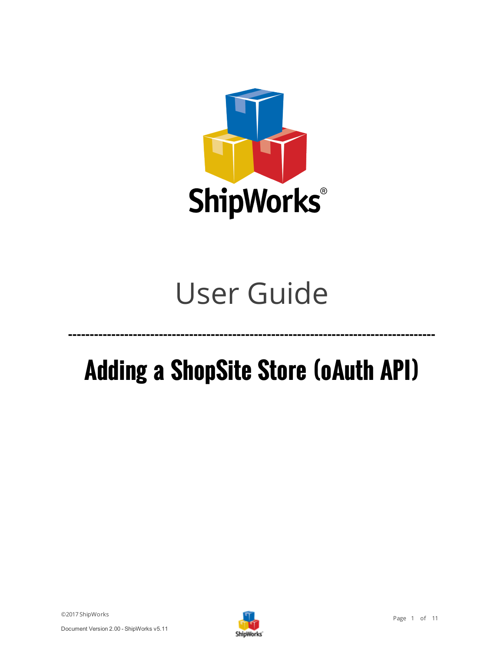

# User Guide

# **Adding a ShopSite Store (oAuth API)**

**-------------------------------------------------------------------------------------**

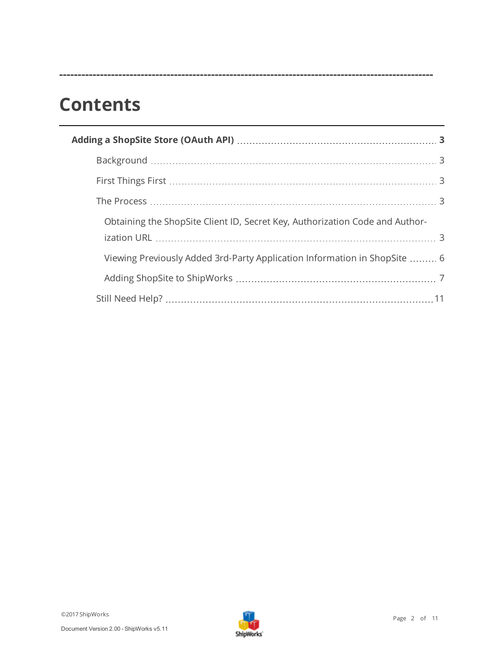## **Contents**

| Obtaining the ShopSite Client ID, Secret Key, Authorization Code and Author- |  |
|------------------------------------------------------------------------------|--|
| Viewing Previously Added 3rd-Party Application Information in ShopSite  6    |  |
|                                                                              |  |
|                                                                              |  |
|                                                                              |  |

**-----------------------------------------------------------------------------------------------------**

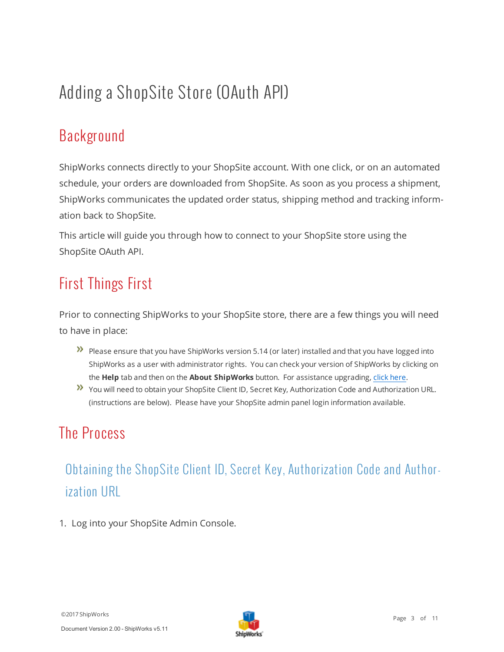## <span id="page-2-1"></span><span id="page-2-0"></span>Adding a ShopSite Store (OAuth API)

### Background

ShipWorks connects directly to your ShopSite account. With one click, or on an automated schedule, your orders are downloaded from ShopSite. As soon as you process a shipment, ShipWorks communicates the updated order status, shipping method and tracking information back to ShopSite.

<span id="page-2-2"></span>This article will guide you through how to connect to your ShopSite store using the ShopSite OAuth API.

#### First Things First

Prior to connecting ShipWorks to your ShopSite store, there are a few things you will need to have in place:

- **Please ensure that you have ShipWorks version 5.14 (or later) installed and that you have logged into** ShipWorks as a user with administrator rights. You can check your version of ShipWorks by clicking on the **Help** tab and then on the **About ShipWorks** button. For assistance upgrading, click [here.](http://support.shipworks.com/support/solutions/articles/147053-how-do-i-upgrade-shipworks-)
- <span id="page-2-3"></span>You will need to obtain your ShopSite Client ID, Secret Key, Authorization Code and Authorization URL. (instructions are below). Please have your ShopSite admin panel login information available.

#### <span id="page-2-4"></span>The Process

### Obtaining the ShopSite Client ID, Secret Key, Authorization Code and Authorization URL

1. Log into your ShopSite Admin Console.

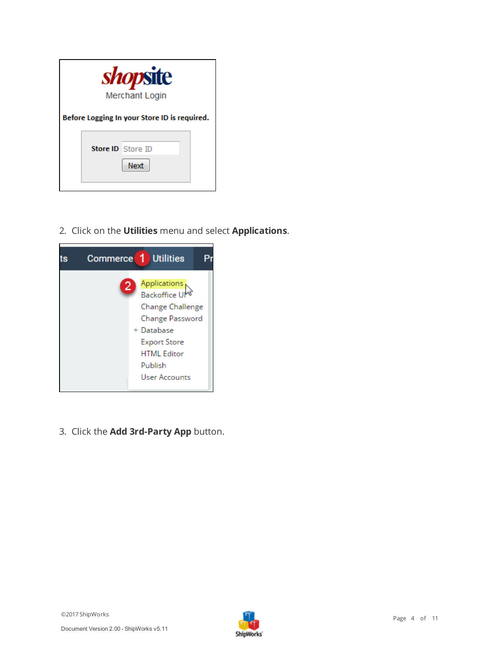| <i>shopsite</i><br><b>Merchant Login</b>     |  |
|----------------------------------------------|--|
| Before Logging In your Store ID is required. |  |
| <b>Store ID</b> Store ID<br>Next             |  |

2. Click on the **Utilities** menu and select **Applications**.



3. Click the **Add 3rd-Party App** button.

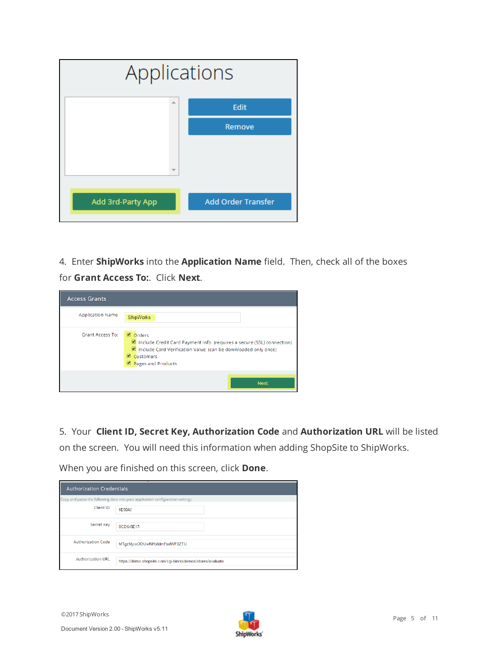| Applications      |                           |
|-------------------|---------------------------|
| A.                | Edit                      |
|                   | Remove                    |
|                   |                           |
|                   |                           |
|                   |                           |
| Add 3rd-Party App | <b>Add Order Transfer</b> |

4. Enter **ShipWorks** into the **Application Name** field. Then, check all of the boxes for **Grant Access To:**. Click **Next**.



5. Your **Client ID, Secret Key, Authorization Code** and **Authorization URL** will be listed on the screen. You will need this information when adding ShopSite to ShipWorks.

When you are finished on this screen, click **Done**.

| ۰.<br><b>Authorization Credentials</b> |                                                                                 |  |
|----------------------------------------|---------------------------------------------------------------------------------|--|
|                                        | Copy and paste the following data into your application configuration settings. |  |
| Client ID                              | 1E50A5                                                                          |  |
| Secret Key                             | 8CD6-5E17-                                                                      |  |
| Authorization Code                     | MTgzMjcxODUwNHxldmFsdWF0ZTU                                                     |  |
| <b>Authorization URL</b>               | https://demo.shopsite.com/cgi-bin/ssdemos/stores/evaluate                       |  |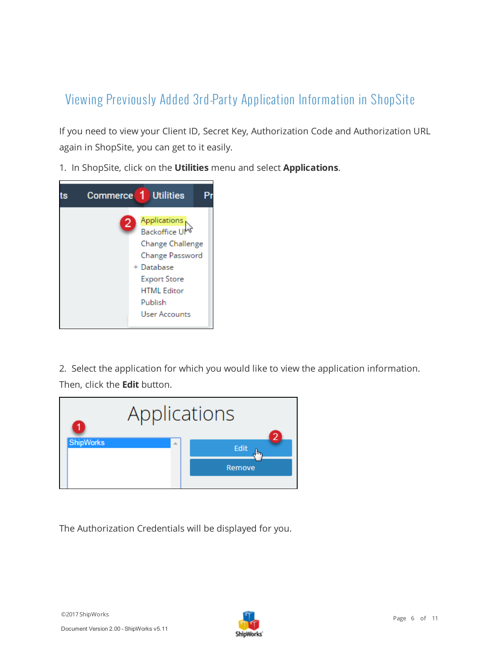#### <span id="page-5-0"></span>Viewing Previously Added 3rd-Party Application Inform ation in ShopSite

If you need to view your Client ID, Secret Key, Authorization Code and Authorization URL again in ShopSite, you can get to it easily.

1. In ShopSite, click on the **Utilities** menu and select **Applications**.



2. Select the application for which you would like to view the application information. Then, click the **Edit** button.



The Authorization Credentials will be displayed for you.

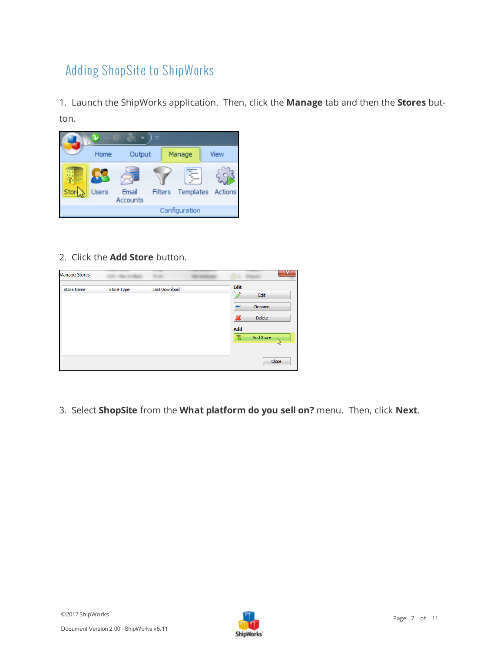#### <span id="page-6-0"></span>Adding ShopSite to ShipWorks

1. Launch the ShipWorks application. Then, click the **Manage** tab and then the **Stores** button.



2. Click the **Add Store** button.

| <b>Manage Stores</b> |                   |               |                                        |                         | X           |
|----------------------|-------------------|---------------|----------------------------------------|-------------------------|-------------|
| <b>Store Name</b>    | <b>Store Type</b> | Last Download | Edit                                   | Edit                    |             |
|                      |                   |               | <b>ABC</b><br>$\boldsymbol{\varkappa}$ | Rename<br><b>Delete</b> |             |
|                      |                   |               | Add<br>醌                               | Add Store               |             |
|                      |                   |               |                                        |                         | W           |
|                      |                   |               |                                        |                         | Close<br>иł |

3. Select **ShopSite** from the **What platform do you sell on?** menu. Then, click **Next**.

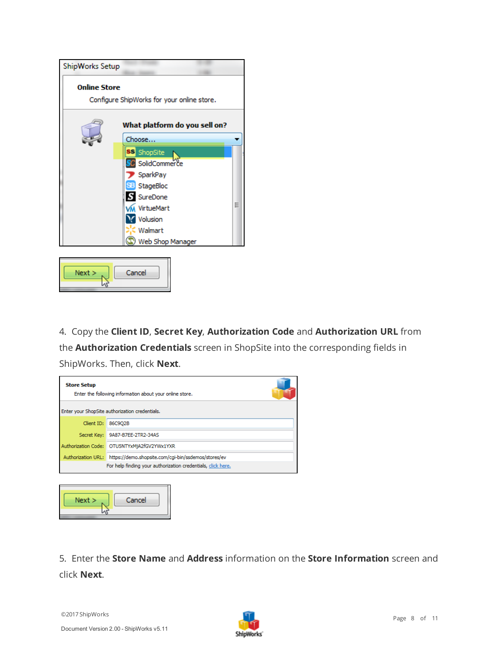

4. Copy the **Client ID**, **Secret Key**, **Authorization Code** and **Authorization URL** from the **Authorization Credentials** screen in ShopSite into the corresponding fields in ShipWorks. Then, click **Next**.

| <b>Store Setup</b><br>Enter the following information about your online store. |                                                                        |  |  |
|--------------------------------------------------------------------------------|------------------------------------------------------------------------|--|--|
|                                                                                | Enter your ShopSite authorization credentials.                         |  |  |
|                                                                                | Client ID: 86C9O2B                                                     |  |  |
|                                                                                | Secret Kev: 9A87-B7EE-2TR2-34AS                                        |  |  |
|                                                                                | Authorization Code: OTU5NTYxMjA2fGV2YWx1YXR                            |  |  |
|                                                                                | Authorization URL: https://demo.shopsite.com/cqi-bin/ssdemos/stores/ev |  |  |
|                                                                                | For help finding your authorization credentials, click here.           |  |  |
|                                                                                |                                                                        |  |  |



5. Enter the **Store Name** and **Address** information on the **Store Information** screen and click **Next**.

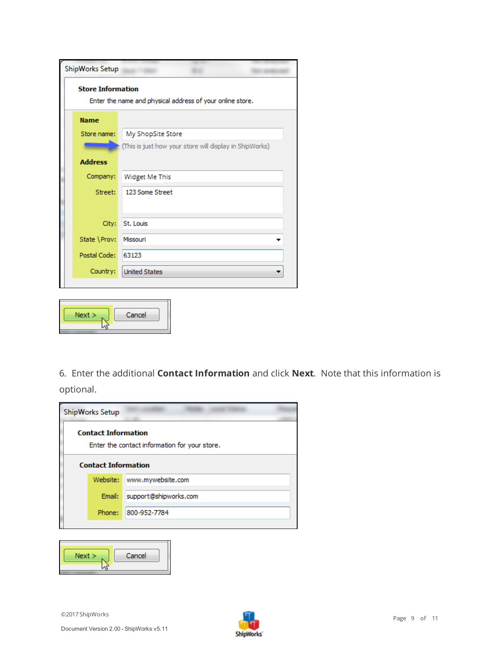| ShipWorks Setup          |                                                           |
|--------------------------|-----------------------------------------------------------|
| <b>Store Information</b> | Enter the name and physical address of your online store. |
| <b>Name</b>              |                                                           |
| Store name:              | My ShopSite Store                                         |
|                          | (This is just how your store will display in ShipWorks)   |
| <b>Address</b>           |                                                           |
| Company:                 | Widget Me This                                            |
| Street:                  | 123 Some Street                                           |
|                          |                                                           |
| City:                    | St. Louis                                                 |
| State \Prov:             | Missouri                                                  |
| Postal Code:             | 63123                                                     |
| Country:                 | <b>United States</b>                                      |
|                          |                                                           |



6. Enter the additional **Contact Information** and click **Next**. Note that this information is optional.

| ShipWorks Setup                               |                            |  |  |  |
|-----------------------------------------------|----------------------------|--|--|--|
| <b>Contact Information</b>                    |                            |  |  |  |
| Enter the contact information for your store. |                            |  |  |  |
| <b>Contact Information</b>                    |                            |  |  |  |
|                                               | Website: www.mywebsite.com |  |  |  |
| Email:                                        | support@shipworks.com      |  |  |  |
| Phone:                                        | 800-952-7784               |  |  |  |
|                                               |                            |  |  |  |

| Next | Cancel |
|------|--------|
|      |        |

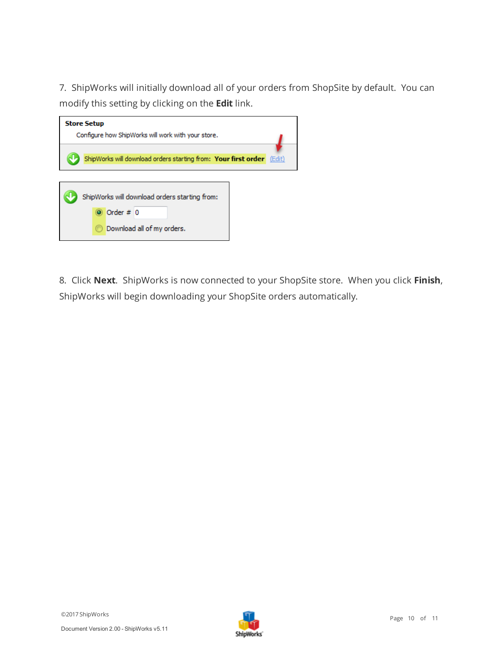7. ShipWorks will initially download all of your orders from ShopSite by default. You can modify this setting by clicking on the **Edit** link.

| <b>Store Setup</b><br>Configure how ShipWorks will work with your store.                   |  |
|--------------------------------------------------------------------------------------------|--|
| ShipWorks will download orders starting from: Your first order (Edit)                      |  |
| ShipWorks will download orders starting from:<br>Order $# 0$<br>Download all of my orders. |  |

8. Click **Next**. ShipWorks is now connected to your ShopSite store. When you click **Finish**, ShipWorks will begin downloading your ShopSite orders automatically.